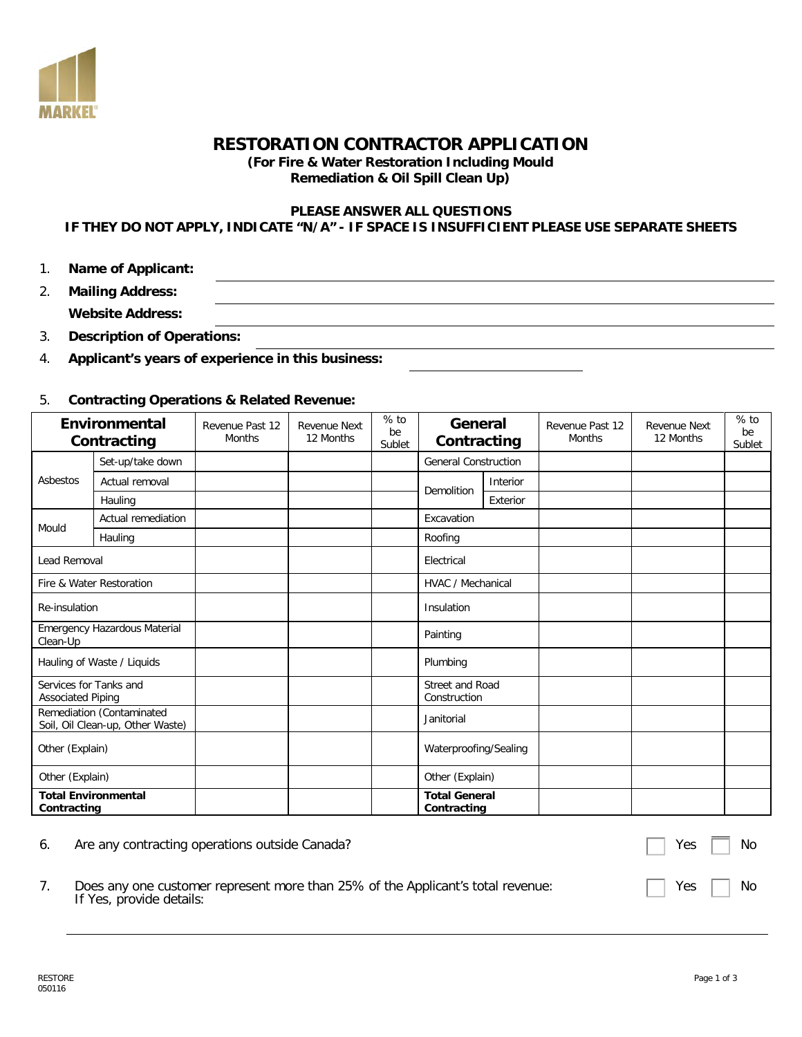

# **RESTORATION CONTRACTOR APPLICATION**

**(For Fire & Water Restoration Including Mould Remediation & Oil Spill Clean Up)**

### **PLEASE ANSWER ALL QUESTIONS**

## **IF THEY DO NOT APPLY, INDICATE "N/A" - IF SPACE IS INSUFFICIENT PLEASE USE SEPARATE SHEETS**

1. **Name of Applicant:**

| ົ<br>z. | <b>Mailing Address:</b> |  |
|---------|-------------------------|--|
|         | <b>Website Address:</b> |  |

3. **Description of Operations:**

4. **Applicant's years of experience in this business:**

#### 5. **Contracting Operations & Related Revenue:**

|                                                               | Environmental<br>Contracting | Revenue Past 12<br><b>Months</b> | <b>Revenue Next</b><br>12 Months | $%$ to<br>be<br>Sublet | General<br>Contracting                 |          | Revenue Past 12<br><b>Months</b> | <b>Revenue Next</b><br>12 Months | $%$ to<br>be<br>Sublet |
|---------------------------------------------------------------|------------------------------|----------------------------------|----------------------------------|------------------------|----------------------------------------|----------|----------------------------------|----------------------------------|------------------------|
|                                                               | Set-up/take down             |                                  |                                  |                        | <b>General Construction</b>            |          |                                  |                                  |                        |
| Asbestos                                                      | Actual removal               |                                  |                                  |                        | Demolition                             | Interior |                                  |                                  |                        |
|                                                               | Hauling                      |                                  |                                  |                        |                                        | Exterior |                                  |                                  |                        |
| Mould                                                         | Actual remediation           |                                  |                                  |                        | Excavation                             |          |                                  |                                  |                        |
|                                                               | Hauling                      |                                  |                                  |                        | Roofing                                |          |                                  |                                  |                        |
| <b>Lead Removal</b>                                           |                              |                                  |                                  |                        | Electrical                             |          |                                  |                                  |                        |
| Fire & Water Restoration                                      |                              |                                  |                                  |                        | <b>HVAC / Mechanical</b>               |          |                                  |                                  |                        |
| Re-insulation                                                 |                              |                                  |                                  |                        | Insulation                             |          |                                  |                                  |                        |
| Emergency Hazardous Material<br>Clean-Up                      |                              |                                  |                                  |                        | Painting                               |          |                                  |                                  |                        |
| Hauling of Waste / Liquids                                    |                              |                                  |                                  |                        | Plumbing                               |          |                                  |                                  |                        |
| Services for Tanks and<br><b>Associated Piping</b>            |                              |                                  |                                  |                        | <b>Street and Road</b><br>Construction |          |                                  |                                  |                        |
| Remediation (Contaminated<br>Soil, Oil Clean-up, Other Waste) |                              |                                  |                                  |                        | Janitorial                             |          |                                  |                                  |                        |
| Other (Explain)                                               |                              |                                  |                                  |                        | Waterproofing/Sealing                  |          |                                  |                                  |                        |
| Other (Explain)                                               |                              |                                  |                                  |                        | Other (Explain)                        |          |                                  |                                  |                        |
| Contracting                                                   | <b>Total Environmental</b>   |                                  |                                  |                        | <b>Total General</b><br>Contracting    |          |                                  |                                  |                        |

| 6. | Are any contracting operations outside Canada?                                                              | Yes $\Box$ | No         |
|----|-------------------------------------------------------------------------------------------------------------|------------|------------|
|    | Does any one customer represent more than 25% of the Applicant's total revenue:<br>If Yes, provide details: |            | Yes     No |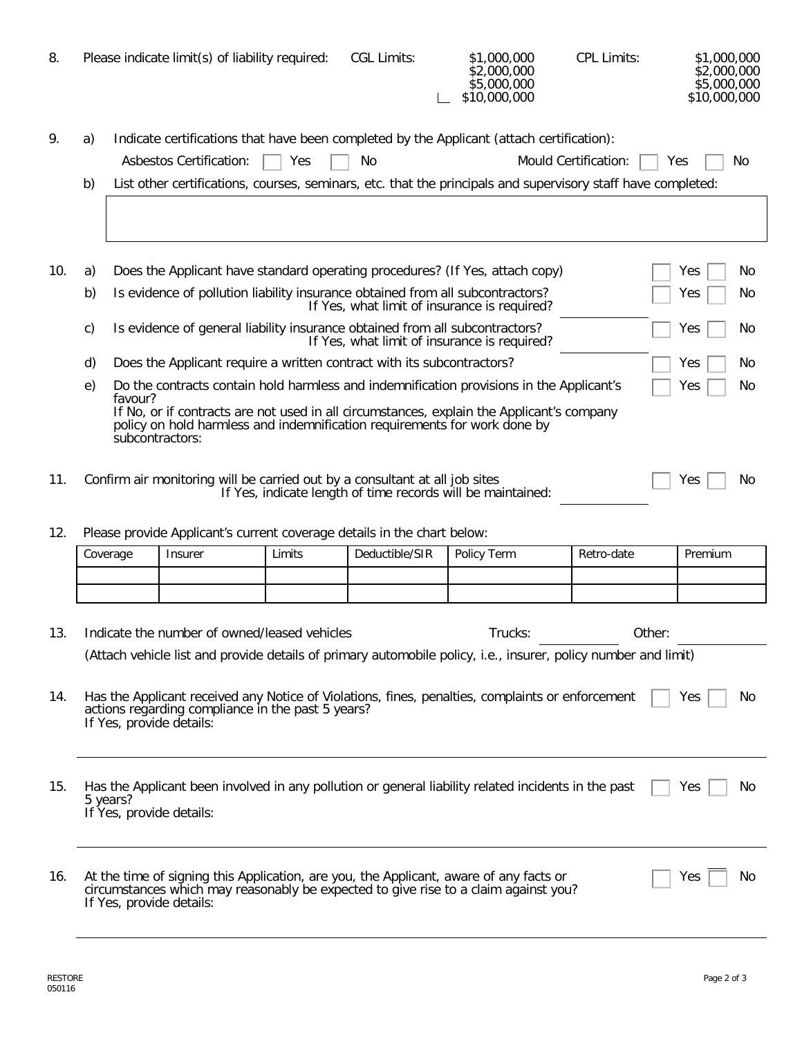| 8.  |                                                                                                                                                                                                                                                                                               |                                                                                                                | Please indicate limit(s) of liability required:                              |        | <b>CGL Limits:</b> | \$1,000,000<br>\$2,000,000<br>\$5,000,000<br>\$10,000,000                                                                                                                     | <b>CPL Limits:</b> | \$1,000,000<br>\$2,000,000<br>\$5,000,000<br>\$10,000,000 |  |
|-----|-----------------------------------------------------------------------------------------------------------------------------------------------------------------------------------------------------------------------------------------------------------------------------------------------|----------------------------------------------------------------------------------------------------------------|------------------------------------------------------------------------------|--------|--------------------|-------------------------------------------------------------------------------------------------------------------------------------------------------------------------------|--------------------|-----------------------------------------------------------|--|
| 9.  | Indicate certifications that have been completed by the Applicant (attach certification):<br>a)<br>Asbestos Certification:<br>Mould Certification:<br>Yes<br>No.<br>Yes<br>b)<br>List other certifications, courses, seminars, etc. that the principals and supervisory staff have completed: |                                                                                                                |                                                                              |        |                    |                                                                                                                                                                               |                    | No                                                        |  |
|     |                                                                                                                                                                                                                                                                                               |                                                                                                                |                                                                              |        |                    |                                                                                                                                                                               |                    |                                                           |  |
| 10. | a)                                                                                                                                                                                                                                                                                            |                                                                                                                |                                                                              |        |                    | Does the Applicant have standard operating procedures? (If Yes, attach copy)                                                                                                  |                    | Yes<br>Νo                                                 |  |
|     | b)                                                                                                                                                                                                                                                                                            |                                                                                                                |                                                                              |        |                    | Is evidence of pollution liability insurance obtained from all subcontractors?<br>If Yes, what limit of insurance is required?                                                |                    | Yes<br>No                                                 |  |
|     | c)                                                                                                                                                                                                                                                                                            |                                                                                                                | Is evidence of general liability insurance obtained from all subcontractors? |        |                    | If Yes, what limit of insurance is required?                                                                                                                                  |                    | No<br>Yes                                                 |  |
|     | d)                                                                                                                                                                                                                                                                                            |                                                                                                                | Does the Applicant require a written contract with its subcontractors?       |        |                    |                                                                                                                                                                               |                    | Yes<br>No                                                 |  |
|     | e)                                                                                                                                                                                                                                                                                            |                                                                                                                |                                                                              |        |                    | Do the contracts contain hold harmless and indemnification provisions in the Applicant's                                                                                      |                    | Yes<br>Νo                                                 |  |
|     | favour?<br>If No, or if contracts are not used in all circumstances, explain the Applicant's company<br>policy on hold harmless and indemnification requirements for work done by<br>subcontractors:                                                                                          |                                                                                                                |                                                                              |        |                    |                                                                                                                                                                               |                    |                                                           |  |
| 11. | Confirm air monitoring will be carried out by a consultant at all job sites<br>No<br>Yes<br>If Yes, indicate length of time records will be maintained:                                                                                                                                       |                                                                                                                |                                                                              |        |                    |                                                                                                                                                                               |                    |                                                           |  |
| 12. |                                                                                                                                                                                                                                                                                               |                                                                                                                | Please provide Applicant's current coverage details in the chart below:      |        |                    |                                                                                                                                                                               |                    |                                                           |  |
|     | Coverage                                                                                                                                                                                                                                                                                      |                                                                                                                | Insurer                                                                      | Limits | Deductible/SIR     | Policy Term                                                                                                                                                                   | Retro-date         | Premium                                                   |  |
|     |                                                                                                                                                                                                                                                                                               |                                                                                                                |                                                                              |        |                    |                                                                                                                                                                               |                    |                                                           |  |
|     |                                                                                                                                                                                                                                                                                               |                                                                                                                |                                                                              |        |                    |                                                                                                                                                                               |                    |                                                           |  |
| 13. |                                                                                                                                                                                                                                                                                               |                                                                                                                | Indicate the number of owned/leased vehicles                                 |        |                    | Trucks:                                                                                                                                                                       | Other:             |                                                           |  |
|     |                                                                                                                                                                                                                                                                                               | (Attach vehicle list and provide details of primary automobile policy, i.e., insurer, policy number and limit) |                                                                              |        |                    |                                                                                                                                                                               |                    |                                                           |  |
| 14. | Has the Applicant received any Notice of Violations, fines, penalties, complaints or enforcement<br>Yes<br>No<br>actions regarding compliance in the past 5 years?<br>If Yes, provide details:                                                                                                |                                                                                                                |                                                                              |        |                    |                                                                                                                                                                               |                    |                                                           |  |
| 15. | Has the Applicant been involved in any pollution or general liability related incidents in the past<br>Yes<br>No<br>5 years?<br>If Yes, provide details:                                                                                                                                      |                                                                                                                |                                                                              |        |                    |                                                                                                                                                                               |                    |                                                           |  |
| 16. |                                                                                                                                                                                                                                                                                               |                                                                                                                | If Yes, provide details:                                                     |        |                    | At the time of signing this Application, are you, the Applicant, aware of any facts or<br>circumstances which may reasonably be expected to give rise to a claim against you? |                    | Νo<br>Yes                                                 |  |